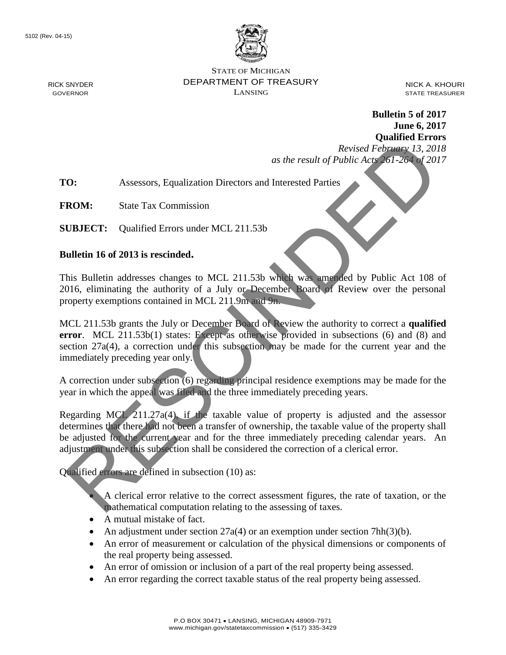

STATE OF MICHIGAN DEPARTMENT OF TREASURY LANSING

NICK A. KHOURI STATE TREASURER

**Bulletin 5 of 2017 June 6, 2017 Qualified Errors**

*Revised February 13, 2018 as the result of Public Acts 261-264 of 2017*

**TO:** Assessors, Equalization Directors and Interested Parties

**FROM:** State Tax Commission

**SUBJECT:** Qualified Errors under MCL 211.53b

#### **Bulletin 16 of 2013 is rescinded.**

This Bulletin addresses changes to MCL 211.53b which was amended by Public Act 108 of 2016, eliminating the authority of a July or December Board of Review over the personal property exemptions contained in MCL 211.9m and 9n.

MCL 211.53b grants the July or December Board of Review the authority to correct a **qualified error.** MCL 211.53b(1) states: Except as otherwise provided in subsections (6) and (8) and section  $27a(4)$ , a correction under this subsection may be made for the current year and the immediately preceding year only. Revised February 14, 2013<br>
2013<br>
2013<br>
2013<br>
2013<br>
2014<br>
2013<br>
2014<br>
2015<br>
2018<br>
2018<br>
2018<br>
2018<br>
2018<br>
2018<br>
2018<br>
2018<br>
2018<br>
2018<br>
2018<br>
2019 is rescinded.<br>
2018<br>
2019 is rescinded.<br>
2019 is rescinded.<br>
2019 is rescin

A correction under subsection (6) regarding principal residence exemptions may be made for the year in which the appeal was filed and the three immediately preceding years.

Regarding MCL 211.27a(4), if the taxable value of property is adjusted and the assessor determines that there had not been a transfer of ownership, the taxable value of the property shall be adjusted for the current year and for the three immediately preceding calendar years. An adjustment under this subsection shall be considered the correction of a clerical error.

Qualified errors are defined in subsection (10) as:

• A clerical error relative to the correct assessment figures, the rate of taxation, or the mathematical computation relating to the assessing of taxes.

- A mutual mistake of fact.
- An adjustment under section  $27a(4)$  or an exemption under section  $7hh(3)(b)$ .
- An error of measurement or calculation of the physical dimensions or components of the real property being assessed.
- An error of omission or inclusion of a part of the real property being assessed.
- An error regarding the correct taxable status of the real property being assessed.

RICK SNYDER GOVERNOR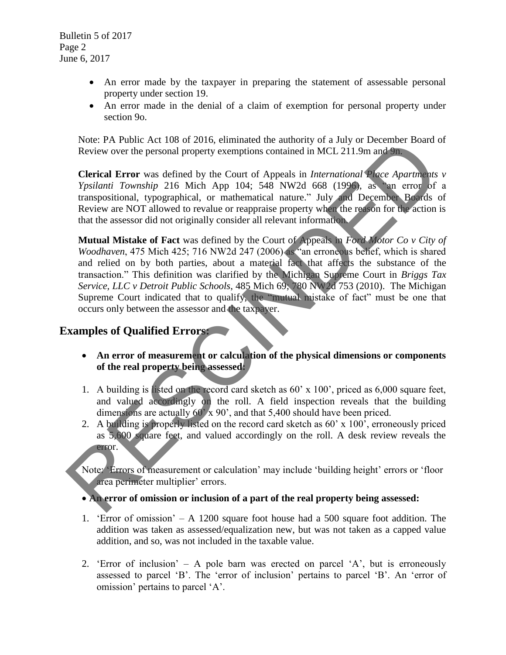- An error made by the taxpayer in preparing the statement of assessable personal property under section 19.
- An error made in the denial of a claim of exemption for personal property under section 9o.

Note: PA Public Act 108 of 2016, eliminated the authority of a July or December Board of Review over the personal property exemptions contained in MCL 211.9m and 9n.

**Clerical Error** was defined by the Court of Appeals in *International Place Apartments v Ypsilanti Township* 216 Mich App 104; 548 NW2d 668 (1996), as "an error of a transpositional, typographical, or mathematical nature." July and December Boards of Review are NOT allowed to revalue or reappraise property when the reason for the action is that the assessor did not originally consider all relevant information.

**Mutual Mistake of Fact** was defined by the Court of Appeals in *Ford Motor Co v City of Woodhaven*, 475 Mich 425; 716 NW2d 247 (2006) as "an erroneous belief, which is shared and relied on by both parties, about a material fact that affects the substance of the transaction." This definition was clarified by the Michigan Supreme Court in *Briggs Tax Service, LLC v Detroit Public Schools*, 485 Mich 69; 780 NW2d 753 (2010). The Michigan Supreme Court indicated that to qualify, the "mutual mistake of fact" must be one that occurs only between the assessor and the taxpayer. Note: PA Public Act 100 of 2010, enimiated the automaty of a July of December Box<br>
Note: The personal property exemptions contained in MCL 211.9m and 9m<br>
Clerical Error was defined by the Court of Appeals in *Internationa* 

# **Examples of Qualified Errors:**

- • **An error of measurement or calculation of the physical dimensions or components of the real property being assessed:**
- 1. A building is listed on the record card sketch as 60' x 100', priced as 6,000 square feet, and valued accordingly on the roll. A field inspection reveals that the building dimensions are actually  $60' \times 90'$ , and that 5,400 should have been priced.
- 2. A building is properly listed on the record card sketch as 60' x 100', erroneously priced as 5,600 square feet, and valued accordingly on the roll. A desk review reveals the error.

Note: 'Errors of measurement or calculation' may include 'building height' errors or 'floor area perimeter multiplier' errors.

• **An error of omission or inclusion of a part of the real property being assessed:** 

- 1. 'Error of omission' A 1200 square foot house had a 500 square foot addition. The addition was taken as assessed/equalization new, but was not taken as a capped value addition, and so, was not included in the taxable value.
- 2. 'Error of inclusion' A pole barn was erected on parcel 'A', but is erroneously assessed to parcel 'B'. The 'error of inclusion' pertains to parcel 'B'. An 'error of omission' pertains to parcel 'A'.